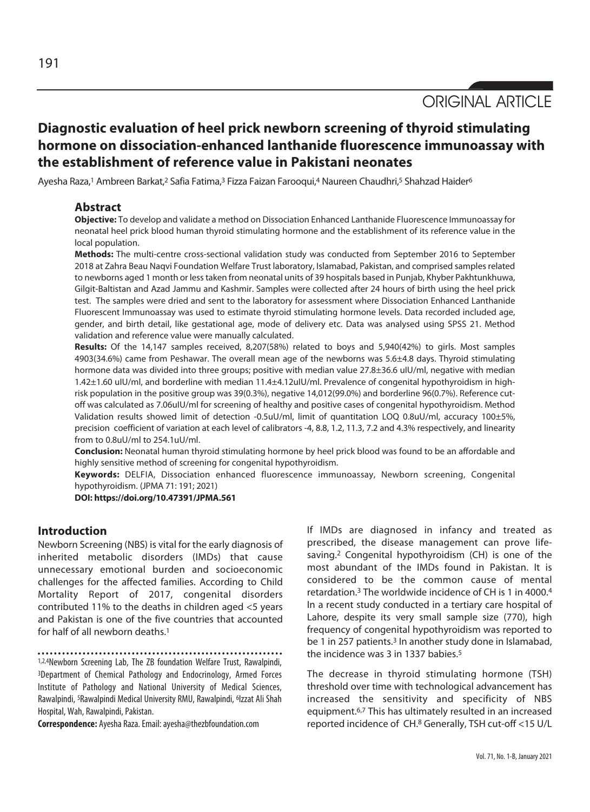# **Diagnostic evaluation of heel prick newborn screening of thyroid stimulating hormone on dissociation-enhanced lanthanide fluorescence immunoassay with the establishment of reference value in Pakistani neonates**

Ayesha Raza,<sup>1</sup> Ambreen Barkat,<sup>2</sup> Safia Fatima,<sup>3</sup> Fizza Faizan Farooqui,<sup>4</sup> Naureen Chaudhri,<sup>5</sup> Shahzad Haider<sup>6</sup>

## **Abstract**

**Objective:** To develop and validate a method on Dissociation Enhanced Lanthanide Fluorescence Immunoassay for neonatal heel prick blood human thyroid stimulating hormone and the establishment of its reference value in the local population.

**Methods:** The multi-centre cross-sectional validation study was conducted from September 2016 to September 2018 at Zahra Beau Naqvi Foundation Welfare Trust laboratory, Islamabad, Pakistan, and comprised samples related to newborns aged 1 month or less taken from neonatal units of 39 hospitals based in Punjab, Khyber Pakhtunkhuwa, Gilgit-Baltistan and Azad Jammu and Kashmir. Samples were collected after 24 hours of birth using the heel prick test. The samples were dried and sent to the laboratory for assessment where Dissociation Enhanced Lanthanide Fluorescent Immunoassay was used to estimate thyroid stimulating hormone levels. Data recorded included age, gender, and birth detail, like gestational age, mode of delivery etc. Data was analysed using SPSS 21. Method validation and reference value were manually calculated.

**Results:** Of the 14,147 samples received, 8,207(58%) related to boys and 5,940(42%) to girls. Most samples 4903(34.6%) came from Peshawar. The overall mean age of the newborns was 5.6±4.8 days. Thyroid stimulating hormone data was divided into three groups; positive with median value 27.8±36.6 uIU/ml, negative with median 1.42±1.60 uIU/ml, and borderline with median 11.4±4.12uIU/ml. Prevalence of congenital hypothyroidism in highrisk population in the positive group was 39(0.3%), negative 14,012(99.0%) and borderline 96(0.7%). Reference cutoff was calculated as 7.06uIU/ml for screening of healthy and positive cases of congenital hypothyroidism. Method Validation results showed limit of detection -0.5uU/ml, limit of quantitation LOQ 0.8uU/ml, accuracy 100±5%, precision coefficient of variation at each level of calibrators -4, 8.8, 1.2, 11.3, 7.2 and 4.3% respectively, and linearity from to 0.8uU/ml to 254.1uU/ml.

**Conclusion:** Neonatal human thyroid stimulating hormone by heel prick blood was found to be an affordable and highly sensitive method of screening for congenital hypothyroidism.

**Keywords:** DELFIA, Dissociation enhanced fluorescence immunoassay, Newborn screening, Congenital hypothyroidism. (JPMA 71: 191; 2021)

**DOI: https://doi.org/10.47391/JPMA.561**

# **Introduction**

Newborn Screening (NBS) is vital for the early diagnosis of inherited metabolic disorders (IMDs) that cause unnecessary emotional burden and socioeconomic challenges for the affected families. According to Child Mortality Report of 2017, congenital disorders contributed 11% to the deaths in children aged <5 years and Pakistan is one of the five countries that accounted for half of all newborn deaths<sup>1</sup>

1,2,4Newborn Screening Lab, The ZB foundation Welfare Trust, Rawalpindi, 3Department of Chemical Pathology and Endocrinology, Armed Forces Institute of Pathology and National University of Medical Sciences, Rawalpindi, <sup>5</sup>Rawalpindi Medical University RMU, Rawalpindi, <sup>6</sup>Izzat Ali Shah Hospital, Wah, Rawalpindi, Pakistan.

**Correspondence:** Ayesha Raza. Email: ayesha@thezbfoundation.com

If IMDs are diagnosed in infancy and treated as prescribed, the disease management can prove lifesaving.2 Congenital hypothyroidism (CH) is one of the most abundant of the IMDs found in Pakistan. It is considered to be the common cause of mental retardation.3 The worldwide incidence of CH is 1 in 4000.4 In a recent study conducted in a tertiary care hospital of Lahore, despite its very small sample size (770), high frequency of congenital hypothyroidism was reported to be 1 in 257 patients.<sup>3</sup> In another study done in Islamabad, the incidence was 3 in 1337 babies.<sup>5</sup>

The decrease in thyroid stimulating hormone (TSH) threshold over time with technological advancement has increased the sensitivity and specificity of NBS equipment.6,7 This has ultimately resulted in an increased reported incidence of CH.8 Generally, TSH cut-off <15 U/L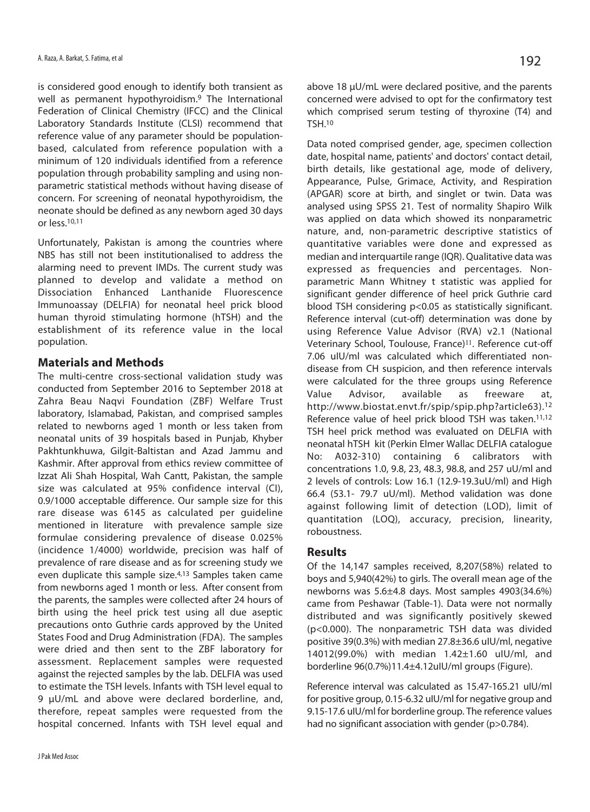is considered good enough to identify both transient as well as permanent hypothyroidism.9 The International Federation of Clinical Chemistry (IFCC) and the Clinical Laboratory Standards Institute (CLSI) recommend that reference value of any parameter should be populationbased, calculated from reference population with a minimum of 120 individuals identified from a reference population through probability sampling and using nonparametric statistical methods without having disease of concern. For screening of neonatal hypothyroidism, the neonate should be defined as any newborn aged 30 days or less.10,11

Unfortunately, Pakistan is among the countries where NBS has still not been institutionalised to address the alarming need to prevent IMDs. The current study was planned to develop and validate a method on Dissociation Enhanced Lanthanide Fluorescence Immunoassay (DELFIA) for neonatal heel prick blood human thyroid stimulating hormone (hTSH) and the establishment of its reference value in the local population.

## **Materials and Methods**

The multi-centre cross-sectional validation study was conducted from September 2016 to September 2018 at Zahra Beau Naqvi Foundation (ZBF) Welfare Trust laboratory, Islamabad, Pakistan, and comprised samples related to newborns aged 1 month or less taken from neonatal units of 39 hospitals based in Punjab, Khyber Pakhtunkhuwa, Gilgit-Baltistan and Azad Jammu and Kashmir. After approval from ethics review committee of Izzat Ali Shah Hospital, Wah Cantt, Pakistan, the sample size was calculated at 95% confidence interval (CI), 0.9/1000 acceptable difference. Our sample size for this rare disease was 6145 as calculated per guideline mentioned in literature with prevalence sample size formulae considering prevalence of disease 0.025% (incidence 1/4000) worldwide, precision was half of prevalence of rare disease and as for screening study we even duplicate this sample size.4,13 Samples taken came from newborns aged 1 month or less. After consent from the parents, the samples were collected after 24 hours of birth using the heel prick test using all due aseptic precautions onto Guthrie cards approved by the United States Food and Drug Administration (FDA). The samples were dried and then sent to the ZBF laboratory for assessment. Replacement samples were requested against the rejected samples by the lab. DELFIA was used to estimate the TSH levels. Infants with TSH level equal to 9 μU/mL and above were declared borderline, and, therefore, repeat samples were requested from the hospital concerned. Infants with TSH level equal and

above 18 μU/mL were declared positive, and the parents concerned were advised to opt for the confirmatory test which comprised serum testing of thyroxine (T4) and TSH.10

Data noted comprised gender, age, specimen collection date, hospital name, patients' and doctors' contact detail, birth details, like gestational age, mode of delivery, Appearance, Pulse, Grimace, Activity, and Respiration (APGAR) score at birth, and singlet or twin. Data was analysed using SPSS 21. Test of normality Shapiro Wilk was applied on data which showed its nonparametric nature, and, non-parametric descriptive statistics of quantitative variables were done and expressed as median and interquartile range (IQR). Qualitative data was expressed as frequencies and percentages. Nonparametric Mann Whitney t statistic was applied for significant gender difference of heel prick Guthrie card blood TSH considering p<0.05 as statistically significant. Reference interval (cut-off) determination was done by using Reference Value Advisor (RVA) v2.1 (National Veterinary School, Toulouse, France)<sup>11</sup>. Reference cut-off 7.06 uIU/ml was calculated which differentiated nondisease from CH suspicion, and then reference intervals were calculated for the three groups using Reference Value Advisor, available as freeware at, http://www.biostat.envt.fr/spip/spip.php?article63).12 Reference value of heel prick blood TSH was taken.<sup>11,12</sup> TSH heel prick method was evaluated on DELFIA with neonatal hTSH kit (Perkin Elmer Wallac DELFIA catalogue No: A032-310) containing 6 calibrators with concentrations 1.0, 9.8, 23, 48.3, 98.8, and 257 uU/ml and 2 levels of controls: Low 16.1 (12.9-19.3uU/ml) and High 66.4 (53.1- 79.7 uU/ml). Method validation was done against following limit of detection (LOD), limit of quantitation (LOQ), accuracy, precision, linearity, roboustness.

## **Results**

Of the 14,147 samples received, 8,207(58%) related to boys and 5,940(42%) to girls. The overall mean age of the newborns was 5.6±4.8 days. Most samples 4903(34.6%) came from Peshawar (Table-1). Data were not normally distributed and was significantly positively skewed (p<0.000). The nonparametric TSH data was divided positive 39(0.3%) with median 27.8±36.6 uIU/ml, negative 14012(99.0%) with median 1.42±1.60 uIU/ml, and borderline 96(0.7%)11.4±4.12uIU/ml groups (Figure).

Reference interval was calculated as 15.47-165.21 uIU/ml for positive group, 0.15-6.32 uIU/ml for negative group and 9.15-17.6 uIU/ml for borderline group. The reference values had no significant association with gender (p>0.784).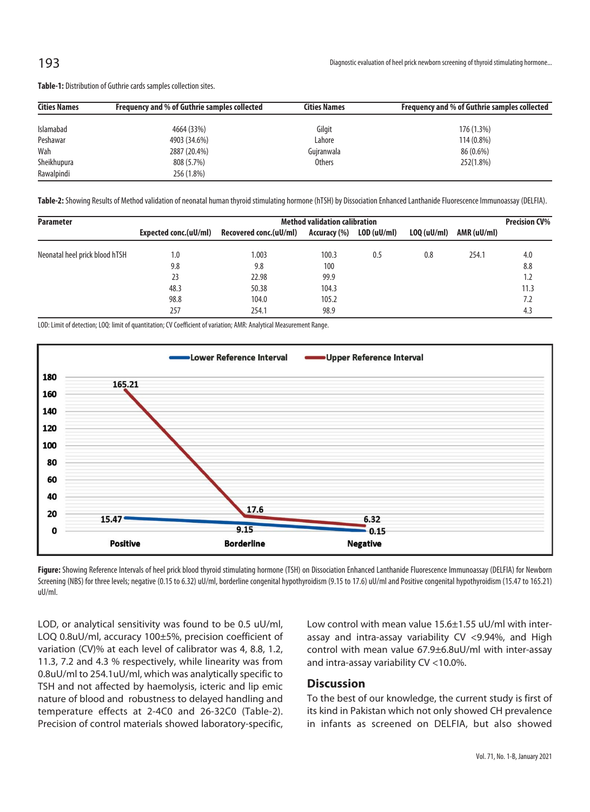**Table-1:** Distribution of Guthrie cards samples collection sites.

| <b>Cities Names</b> | Frequency and % of Guthrie samples collected | <b>Cities Names</b> | Frequency and % of Guthrie samples collected |  |  |  |
|---------------------|----------------------------------------------|---------------------|----------------------------------------------|--|--|--|
| Islamabad           | 4664 (33%)                                   | Gilgit              | $176(1.3\%)$                                 |  |  |  |
| Peshawar            | 4903 (34.6%)                                 | Lahore              | 114 (0.8%)                                   |  |  |  |
| Wah                 | 2887 (20.4%)                                 | Gujranwala          | 86 (0.6%)                                    |  |  |  |
| Sheikhupura         | 808 (5.7%)                                   | <b>Others</b>       | 252(1.8%)                                    |  |  |  |
| Rawalpindi          | 256 (1.8%)                                   |                     |                                              |  |  |  |

**Table-2:** Showing Results of Method validation of neonatal human thyroid stimulating hormone (hTSH) by Dissociation Enhanced Lanthanide Fluorescence Immunoassay (DELFIA).

| <b>Parameter</b>               | <b>Method validation calibration</b> |                        |              |             |             |             |      |
|--------------------------------|--------------------------------------|------------------------|--------------|-------------|-------------|-------------|------|
|                                | Expected conc.(uU/ml)                | Recovered conc.(uU/ml) | Accuracy (%) | LOD (uU/ml) | LOQ (uU/ml) | AMR (uU/ml) |      |
| Neonatal heel prick blood hTSH | 1.0                                  | 1.003                  | 100.3        | 0.5         | 0.8         | 254.1       | 4.0  |
|                                | 9.8                                  | 9.8                    | 100          |             |             |             | 8.8  |
|                                | 23                                   | 22.98                  | 99.9         |             |             |             | 1.2  |
|                                | 48.3                                 | 50.38                  | 104.3        |             |             |             | 11.3 |
|                                | 98.8                                 | 104.0                  | 105.2        |             |             |             | 7.2  |
|                                | 257                                  | 254.1                  | 98.9         |             |             |             | 4.3  |

LOD: Limit of detection; LOQ: limit of quantitation; CV Coefficient of variation; AMR: Analytical Measurement Range.



Figure: Showing Reference Intervals of heel prick blood thyroid stimulating hormone (TSH) on Dissociation Enhanced Lanthanide Fluorescence Immunoassay (DELFIA) for Newborn Screening (NBS) for three levels; negative (0.15 to 6.32) uU/ml, borderline congenital hypothyroidism (9.15 to 17.6) uU/ml and Positive congenital hypothyroidism (15.47 to 165.21) uU/ml.

LOD, or analytical sensitivity was found to be 0.5 uU/ml, LOQ 0.8uU/ml, accuracy 100±5%, precision coefficient of variation (CV)% at each level of calibrator was 4, 8.8, 1.2, 11.3, 7.2 and 4.3 % respectively, while linearity was from 0.8uU/ml to 254.1uU/ml, which was analytically specific to TSH and not affected by haemolysis, icteric and lip emic nature of blood and robustness to delayed handling and temperature effects at 2-4C0 and 26-32C0 (Table-2). Precision of control materials showed laboratory-specific, Low control with mean value 15.6±1.55 uU/ml with interassay and intra-assay variability CV <9.94%, and High control with mean value 67.9±6.8uU/ml with inter-assay and intra-assay variability CV <10.0%.

## **Discussion**

To the best of our knowledge, the current study is first of its kind in Pakistan which not only showed CH prevalence in infants as screened on DELFIA, but also showed